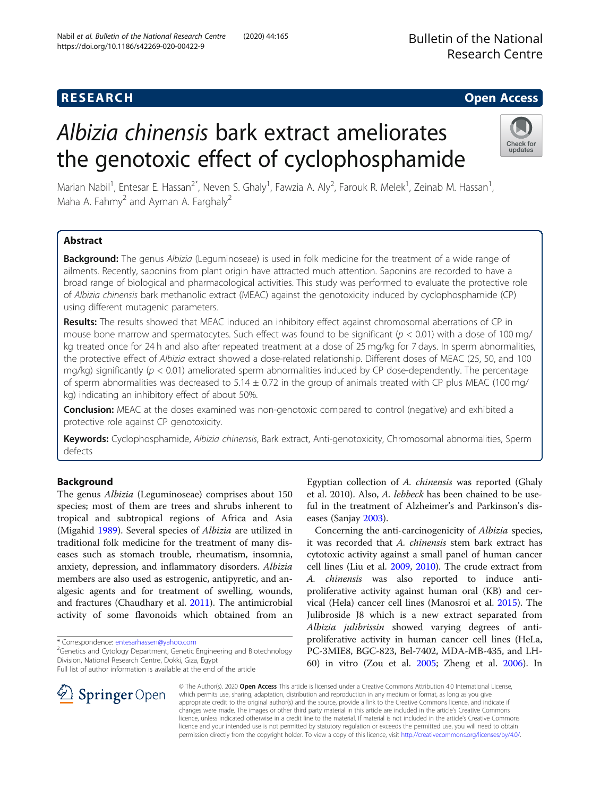# **RESEARCH CHE Open Access**

# Albizia chinensis bark extract ameliorates the genotoxic effect of cyclophosphamide



Marian Nabil<sup>1</sup>, Entesar E. Hassan<sup>2\*</sup>, Neven S. Ghaly<sup>1</sup>, Fawzia A. Aly<sup>2</sup>, Farouk R. Melek<sup>1</sup>, Zeinab M. Hassan<sup>1</sup> , Maha A. Fahmy<sup>2</sup> and Ayman A. Farghaly<sup>2</sup>

# Abstract

Background: The genus Albizia (Leguminoseae) is used in folk medicine for the treatment of a wide range of ailments. Recently, saponins from plant origin have attracted much attention. Saponins are recorded to have a broad range of biological and pharmacological activities. This study was performed to evaluate the protective role of Albizia chinensis bark methanolic extract (MEAC) against the genotoxicity induced by cyclophosphamide (CP) using different mutagenic parameters.

Results: The results showed that MEAC induced an inhibitory effect against chromosomal aberrations of CP in mouse bone marrow and spermatocytes. Such effect was found to be significant ( $p < 0.01$ ) with a dose of 100 mg/ kg treated once for 24 h and also after repeated treatment at a dose of 25 mg/kg for 7 days. In sperm abnormalities, the protective effect of Albizia extract showed a dose-related relationship. Different doses of MEAC (25, 50, and 100 mg/kg) significantly ( $p < 0.01$ ) ameliorated sperm abnormalities induced by CP dose-dependently. The percentage of sperm abnormalities was decreased to  $5.14 \pm 0.72$  in the group of animals treated with CP plus MEAC (100 mg/ kg) indicating an inhibitory effect of about 50%.

**Conclusion:** MEAC at the doses examined was non-genotoxic compared to control (negative) and exhibited a protective role against CP genotoxicity.

Keywords: Cyclophosphamide, Albizia chinensis, Bark extract, Anti-genotoxicity, Chromosomal abnormalities, Sperm defects

# Background

The genus Albizia (Leguminoseae) comprises about 150 species; most of them are trees and shrubs inherent to tropical and subtropical regions of Africa and Asia (Migahid [1989\)](#page-7-0). Several species of Albizia are utilized in traditional folk medicine for the treatment of many diseases such as stomach trouble, rheumatism, insomnia, anxiety, depression, and inflammatory disorders. Albizia members are also used as estrogenic, antipyretic, and analgesic agents and for treatment of swelling, wounds, and fractures (Chaudhary et al. [2011](#page-6-0)). The antimicrobial activity of some flavonoids which obtained from an

\* Correspondence: [entesarhassen@yahoo.com](mailto:entesarhassen@yahoo.com) <sup>2</sup>



Concerning the anti-carcinogenicity of Albizia species, it was recorded that A. chinensis stem bark extract has cytotoxic activity against a small panel of human cancer cell lines (Liu et al. [2009](#page-7-0), [2010](#page-7-0)). The crude extract from A. chinensis was also reported to induce antiproliferative activity against human oral (KB) and cervical (Hela) cancer cell lines (Manosroi et al. [2015\)](#page-7-0). The Julibroside J8 which is a new extract separated from Albizia julibrissin showed varying degrees of antiproliferative activity in human cancer cell lines (HeLa, PC-3MIE8, BGC-823, Bel-7402, MDA-MB-435, and LH-60) in vitro (Zou et al. [2005](#page-7-0); Zheng et al. [2006](#page-7-0)). In

© The Author(s). 2020 Open Access This article is licensed under a Creative Commons Attribution 4.0 International License, which permits use, sharing, adaptation, distribution and reproduction in any medium or format, as long as you give appropriate credit to the original author(s) and the source, provide a link to the Creative Commons licence, and indicate if changes were made. The images or other third party material in this article are included in the article's Creative Commons licence, unless indicated otherwise in a credit line to the material. If material is not included in the article's Creative Commons licence and your intended use is not permitted by statutory regulation or exceeds the permitted use, you will need to obtain permission directly from the copyright holder. To view a copy of this licence, visit <http://creativecommons.org/licenses/by/4.0/>.



<sup>&</sup>lt;sup>2</sup> Genetics and Cytology Department, Genetic Engineering and Biotechnology Division, National Research Centre, Dokki, Giza, Egypt

Full list of author information is available at the end of the article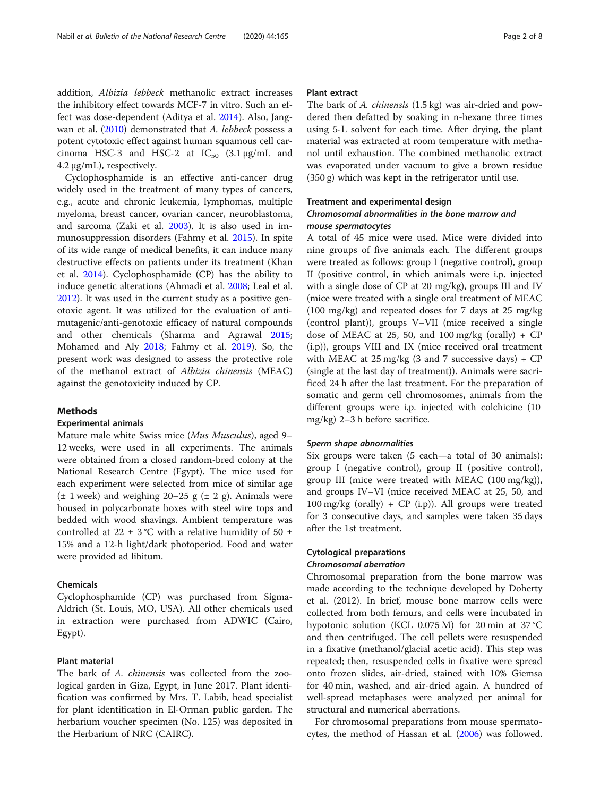addition, Albizia lebbeck methanolic extract increases the inhibitory effect towards MCF-7 in vitro. Such an effect was dose-dependent (Aditya et al. [2014](#page-6-0)). Also, Jang-wan et al. [\(2010\)](#page-6-0) demonstrated that A. lebbeck possess a potent cytotoxic effect against human squamous cell carcinoma HSC-3 and HSC-2 at  $IC_{50}$  (3.1  $\mu$ g/mL and 4.2 μg/mL), respectively.

Cyclophosphamide is an effective anti-cancer drug widely used in the treatment of many types of cancers, e.g., acute and chronic leukemia, lymphomas, multiple myeloma, breast cancer, ovarian cancer, neuroblastoma, and sarcoma (Zaki et al. [2003\)](#page-7-0). It is also used in immunosuppression disorders (Fahmy et al. [2015\)](#page-6-0). In spite of its wide range of medical benefits, it can induce many destructive effects on patients under its treatment (Khan et al. [2014](#page-6-0)). Cyclophosphamide (CP) has the ability to induce genetic alterations (Ahmadi et al. [2008;](#page-6-0) Leal et al. [2012](#page-6-0)). It was used in the current study as a positive genotoxic agent. It was utilized for the evaluation of antimutagenic/anti-genotoxic efficacy of natural compounds and other chemicals (Sharma and Agrawal [2015](#page-7-0); Mohamed and Aly [2018;](#page-7-0) Fahmy et al. [2019\)](#page-6-0). So, the present work was designed to assess the protective role of the methanol extract of Albizia chinensis (MEAC) against the genotoxicity induced by CP.

# Methods

# Experimental animals

Mature male white Swiss mice (Mus Musculus), aged 9– 12 weeks, were used in all experiments. The animals were obtained from a closed random-bred colony at the National Research Centre (Egypt). The mice used for each experiment were selected from mice of similar age  $(\pm 1$  week) and weighing 20–25 g  $(\pm 2)$ . Animals were housed in polycarbonate boxes with steel wire tops and bedded with wood shavings. Ambient temperature was controlled at 22  $\pm$  3 °C with a relative humidity of 50  $\pm$ 15% and a 12-h light/dark photoperiod. Food and water were provided ad libitum.

# Chemicals

Cyclophosphamide (CP) was purchased from Sigma-Aldrich (St. Louis, MO, USA). All other chemicals used in extraction were purchased from ADWIC (Cairo, Egypt).

# Plant material

The bark of A. chinensis was collected from the zoological garden in Giza, Egypt, in June 2017. Plant identification was confirmed by Mrs. T. Labib, head specialist for plant identification in El-Orman public garden. The herbarium voucher specimen (No. 125) was deposited in the Herbarium of NRC (CAIRC).

# Plant extract

The bark of A. chinensis (1.5 kg) was air-dried and powdered then defatted by soaking in n-hexane three times using 5-L solvent for each time. After drying, the plant material was extracted at room temperature with methanol until exhaustion. The combined methanolic extract was evaporated under vacuum to give a brown residue (350 g) which was kept in the refrigerator until use.

# Treatment and experimental design Chromosomal abnormalities in the bone marrow and

# mouse spermatocytes

A total of 45 mice were used. Mice were divided into nine groups of five animals each. The different groups were treated as follows: group I (negative control), group II (positive control, in which animals were i.p. injected with a single dose of CP at 20 mg/kg), groups III and IV (mice were treated with a single oral treatment of MEAC (100 mg/kg) and repeated doses for 7 days at 25 mg/kg (control plant)), groups V–VII (mice received a single dose of MEAC at 25, 50, and 100 mg/kg (orally) +  $CP$ (i.p)), groups VIII and IX (mice received oral treatment with MEAC at  $25 \text{ mg/kg}$  (3 and 7 successive days) + CP (single at the last day of treatment)). Animals were sacrificed 24 h after the last treatment. For the preparation of somatic and germ cell chromosomes, animals from the different groups were i.p. injected with colchicine (10 mg/kg) 2–3 h before sacrifice.

# Sperm shape abnormalities

Six groups were taken (5 each—a total of 30 animals): group I (negative control), group II (positive control), group III (mice were treated with MEAC (100 mg/kg)), and groups IV–VI (mice received MEAC at 25, 50, and  $100 \text{ mg/kg}$  (orally) + CP (i.p)). All groups were treated for 3 consecutive days, and samples were taken 35 days after the 1st treatment.

# Cytological preparations

# Chromosomal aberration

Chromosomal preparation from the bone marrow was made according to the technique developed by Doherty et al. (2012). In brief, mouse bone marrow cells were collected from both femurs, and cells were incubated in hypotonic solution (KCL 0.075 M) for 20 min at 37 °C and then centrifuged. The cell pellets were resuspended in a fixative (methanol/glacial acetic acid). This step was repeated; then, resuspended cells in fixative were spread onto frozen slides, air-dried, stained with 10% Giemsa for 40 min, washed, and air-dried again. A hundred of well-spread metaphases were analyzed per animal for structural and numerical aberrations.

For chromosomal preparations from mouse spermatocytes, the method of Hassan et al. [\(2006\)](#page-6-0) was followed.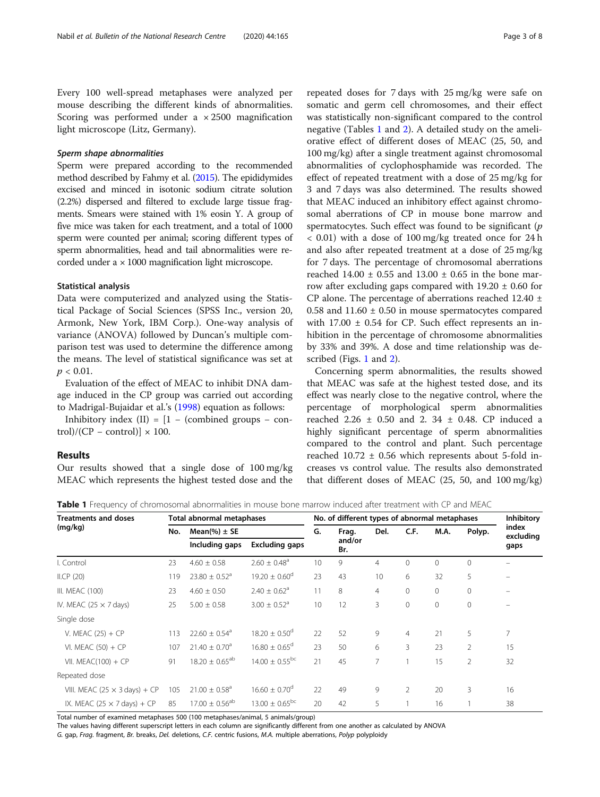Every 100 well-spread metaphases were analyzed per mouse describing the different kinds of abnormalities. Scoring was performed under a  $\times$  2500 magnification light microscope (Litz, Germany).

# Sperm shape abnormalities

Sperm were prepared according to the recommended method described by Fahmy et al. [\(2015](#page-6-0)). The epididymides excised and minced in isotonic sodium citrate solution (2.2%) dispersed and filtered to exclude large tissue fragments. Smears were stained with 1% eosin Y. A group of five mice was taken for each treatment, and a total of 1000 sperm were counted per animal; scoring different types of sperm abnormalities, head and tail abnormalities were recorded under a × 1000 magnification light microscope.

# Statistical analysis

Data were computerized and analyzed using the Statistical Package of Social Sciences (SPSS Inc., version 20, Armonk, New York, IBM Corp.). One-way analysis of variance (ANOVA) followed by Duncan's multiple comparison test was used to determine the difference among the means. The level of statistical significance was set at  $p < 0.01$ .

Evaluation of the effect of MEAC to inhibit DNA damage induced in the CP group was carried out according to Madrigal-Bujaidar et al.'s [\(1998\)](#page-7-0) equation as follows:

Inhibitory index  $(II) = [1 - (combined groups - con$ trol)/(CP – control)]  $\times$  100.

# Results

Our results showed that a single dose of 100 mg/kg MEAC which represents the highest tested dose and the

repeated doses for 7 days with 25 mg/kg were safe on somatic and germ cell chromosomes, and their effect was statistically non-significant compared to the control negative (Tables 1 and [2](#page-3-0)). A detailed study on the ameliorative effect of different doses of MEAC (25, 50, and 100 mg/kg) after a single treatment against chromosomal abnormalities of cyclophosphamide was recorded. The effect of repeated treatment with a dose of 25 mg/kg for 3 and 7 days was also determined. The results showed that MEAC induced an inhibitory effect against chromosomal aberrations of CP in mouse bone marrow and spermatocytes. Such effect was found to be significant  $(p)$ < 0.01) with a dose of 100 mg/kg treated once for 24 h and also after repeated treatment at a dose of 25 mg/kg for 7 days. The percentage of chromosomal aberrations reached  $14.00 \pm 0.55$  and  $13.00 \pm 0.65$  in the bone marrow after excluding gaps compared with  $19.20 \pm 0.60$  for CP alone. The percentage of aberrations reached  $12.40 \pm$ 0.58 and  $11.60 \pm 0.50$  in mouse spermatocytes compared with  $17.00 \pm 0.54$  for CP. Such effect represents an inhibition in the percentage of chromosome abnormalities by 33% and 39%. A dose and time relationship was described (Figs. [1](#page-3-0) and [2\)](#page-4-0).

Concerning sperm abnormalities, the results showed that MEAC was safe at the highest tested dose, and its effect was nearly close to the negative control, where the percentage of morphological sperm abnormalities reached 2.26  $\pm$  0.50 and 2.34  $\pm$  0.48. CP induced a highly significant percentage of sperm abnormalities compared to the control and plant. Such percentage reached  $10.72 \pm 0.56$  which represents about 5-fold increases vs control value. The results also demonstrated that different doses of MEAC (25, 50, and 100 mg/kg)

Table 1 Frequency of chromosomal abnormalities in mouse bone marrow induced after treatment with CP and MEAC

| <b>Treatments and doses</b><br>(mq/kg) | Total abnormal metaphases |                               |                               | No. of different types of abnormal metaphases |               |                |                |              |                | Inhibitory         |
|----------------------------------------|---------------------------|-------------------------------|-------------------------------|-----------------------------------------------|---------------|----------------|----------------|--------------|----------------|--------------------|
|                                        | No.                       | Mean(%) $\pm$ SE              |                               | G.                                            | Frag.         | Del.           | C.F.           | M.A.         | Polyp.         | index<br>excluding |
|                                        |                           | Including gaps                | <b>Excluding gaps</b>         |                                               | and/or<br>Br. |                |                |              |                | gaps               |
| I. Control                             | 23                        | $4.60 \pm 0.58$               | $2.60 \pm 0.48$ <sup>a</sup>  | 10                                            | 9             | 4              | 0              | $\mathbf{0}$ | $\mathbf{0}$   |                    |
| ILCP(20)                               | 119                       | $23.80 \pm 0.52$ <sup>a</sup> | $19.20 \pm 0.60^{\circ}$      | 23                                            | 43            | 10             | 6              | 32           | 5              |                    |
| III. MEAC (100)                        | 23                        | $4.60 \pm 0.50$               | $2.40 \pm 0.62$ <sup>a</sup>  | 11                                            | 8             | $\overline{4}$ | 0              | $\mathbf{0}$ | $\mathbf{0}$   | $-$                |
| IV. MEAC (25 $\times$ 7 days)          | 25                        | $5.00 \pm 0.58$               | $3.00 \pm 0.52$ <sup>a</sup>  | 10                                            | 12            | 3              | 0              | $\mathbf 0$  | $\mathbf 0$    |                    |
| Single dose                            |                           |                               |                               |                                               |               |                |                |              |                |                    |
| V. MEAC $(25) + CP$                    | 113                       | $22.60 \pm 0.54$ <sup>a</sup> | $18.20 \pm 0.50$ <sup>d</sup> | 22                                            | 52            | 9              | $\overline{4}$ | 21           | 5              | 7                  |
| VI. MEAC $(50) + CP$                   | 107                       | $21.40 \pm 0.70$ <sup>a</sup> | $16.80 \pm 0.65$ <sup>d</sup> | 23                                            | 50            | 6              | 3              | 23           | $\overline{2}$ | 15                 |
| VII. MEAC $(100) + CP$                 | 91                        | $18.20 \pm 0.65^{ab}$         | $14.00 \pm 0.55^{\rm bc}$     | 21                                            | 45            | 7              |                | 15           | $\overline{2}$ | 32                 |
| Repeated dose                          |                           |                               |                               |                                               |               |                |                |              |                |                    |
| VIII. MEAC (25 $\times$ 3 days) + CP   | 105                       | $21.00 \pm 0.58$ <sup>a</sup> | $16.60 \pm 0.70$ <sup>d</sup> | 22                                            | 49            | 9              | 2              | 20           | 3              | 16                 |
| IX. MEAC (25 $\times$ 7 days) + CP     | 85                        | $17.00 \pm 0.56^{ab}$         | $13.00 \pm 0.65^{bc}$         | 20                                            | 42            | 5              |                | 16           |                | 38                 |

Total number of examined metaphases 500 (100 metaphases/animal, 5 animals/group)

The values having different superscript letters in each column are significantly different from one another as calculated by ANOVA G. gap, Frag. fragment, Br. breaks, Del. deletions, C.F. centric fusions, M.A. multiple aberrations, Polyp polyploidy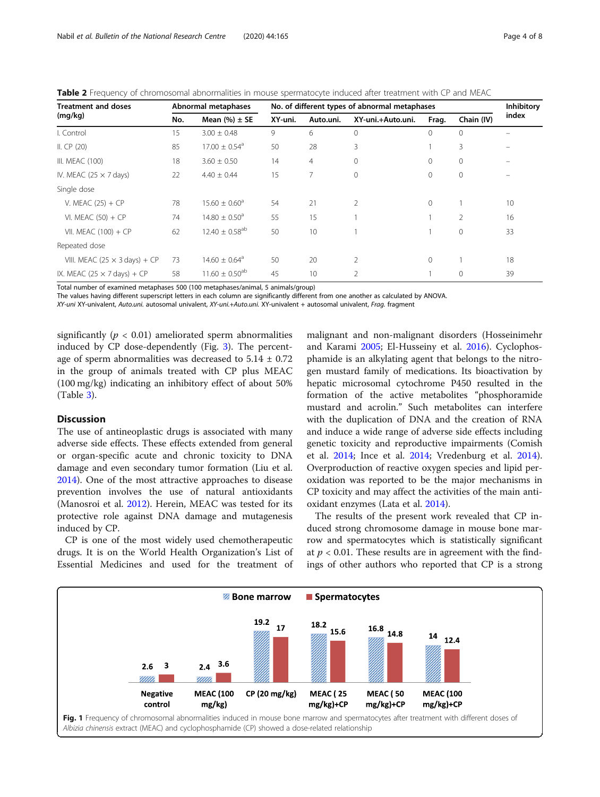<span id="page-3-0"></span>Table 2 Frequency of chromosomal abnormalities in mouse spermatocyte induced after treatment with CP and MEAC

| <b>Treatment and doses</b><br>(mg/kg) | Abnormal metaphases |                                | No. of different types of abnormal metaphases | <b>Inhibitory</b> |                   |              |                |       |
|---------------------------------------|---------------------|--------------------------------|-----------------------------------------------|-------------------|-------------------|--------------|----------------|-------|
|                                       | No.                 | Mean $(\% ) \pm SE$            | XY-uni.                                       | Auto.uni.         | XY-uni.+Auto.uni. | Frag.        | Chain (IV)     | index |
| I. Control                            | 15                  | $3.00 \pm 0.48$                | 9                                             | 6                 | 0                 | $\mathbf{0}$ | $\mathbf{0}$   |       |
| II. $CP(20)$                          | 85                  | $17.00 \pm 0.54$ <sup>a</sup>  | 50                                            | 28                | 3                 |              | 3              |       |
| III. MEAC (100)                       | 18                  | $3.60 \pm 0.50$                | 14                                            | $\overline{4}$    | 0                 | $\Omega$     | $\overline{0}$ |       |
| IV. MEAC (25 $\times$ 7 days)         | 22                  | $4.40 \pm 0.44$                | 15                                            | 7                 | 0                 | 0            | $\overline{0}$ |       |
| Single dose                           |                     |                                |                                               |                   |                   |              |                |       |
| V. MEAC $(25) + CP$                   | 78                  | $15.60 \pm 0.60^a$             | 54                                            | 21                | $\overline{2}$    | $\Omega$     |                | 10    |
| VI. MEAC $(50) + CP$                  | 74                  | $14.80 \pm 0.50$ <sup>a</sup>  | 55                                            | 15                |                   |              | $\mathfrak{D}$ | 16    |
| VII. MEAC $(100) + CP$                | 62                  | $12.40 \pm 0.58$ <sup>ab</sup> | 50                                            | 10                |                   |              | $\mathbf{0}$   | 33    |
| Repeated dose                         |                     |                                |                                               |                   |                   |              |                |       |
| VIII. MEAC (25 $\times$ 3 days) + CP  | 73                  | $14.60 \pm 0.64^{\circ}$       | 50                                            | 20                | $\overline{2}$    | $\mathbf{0}$ |                | 18    |
| IX. MEAC (25 $\times$ 7 days) + CP    | 58                  | $11.60 \pm 0.50$ <sup>ab</sup> | 45                                            | 10                | 2                 |              | $\circ$        | 39    |

Total number of examined metaphases 500 (100 metaphases/animal, 5 animals/group)

The values having different superscript letters in each column are significantly different from one another as calculated by ANOVA.

XY-uni XY-univalent, Auto.uni. autosomal univalent, XY-uni.+Auto.uni. XY-univalent + autosomal univalent, Frag. fragment

significantly ( $p < 0.01$ ) ameliorated sperm abnormalities induced by CP dose-dependently (Fig. [3](#page-4-0)). The percentage of sperm abnormalities was decreased to  $5.14 \pm 0.72$ in the group of animals treated with CP plus MEAC (100 mg/kg) indicating an inhibitory effect of about 50% (Table [3\)](#page-5-0).

# **Discussion**

The use of antineoplastic drugs is associated with many adverse side effects. These effects extended from general or organ-specific acute and chronic toxicity to DNA damage and even secondary tumor formation (Liu et al. [2014](#page-7-0)). One of the most attractive approaches to disease prevention involves the use of natural antioxidants (Manosroi et al. [2012\)](#page-7-0). Herein, MEAC was tested for its protective role against DNA damage and mutagenesis induced by CP.

CP is one of the most widely used chemotherapeutic drugs. It is on the World Health Organization's List of Essential Medicines and used for the treatment of

malignant and non-malignant disorders (Hosseinimehr and Karami [2005;](#page-6-0) El-Husseiny et al. [2016\)](#page-6-0). Cyclophosphamide is an alkylating agent that belongs to the nitrogen mustard family of medications. Its bioactivation by hepatic microsomal cytochrome P450 resulted in the formation of the active metabolites "phosphoramide mustard and acrolin." Such metabolites can interfere with the duplication of DNA and the creation of RNA and induce a wide range of adverse side effects including genetic toxicity and reproductive impairments (Comish et al. [2014;](#page-6-0) Ince et al. [2014](#page-6-0); Vredenburg et al. [2014](#page-7-0)). Overproduction of reactive oxygen species and lipid peroxidation was reported to be the major mechanisms in CP toxicity and may affect the activities of the main antioxidant enzymes (Lata et al. [2014\)](#page-6-0).

The results of the present work revealed that CP induced strong chromosome damage in mouse bone marrow and spermatocytes which is statistically significant at  $p < 0.01$ . These results are in agreement with the findings of other authors who reported that CP is a strong

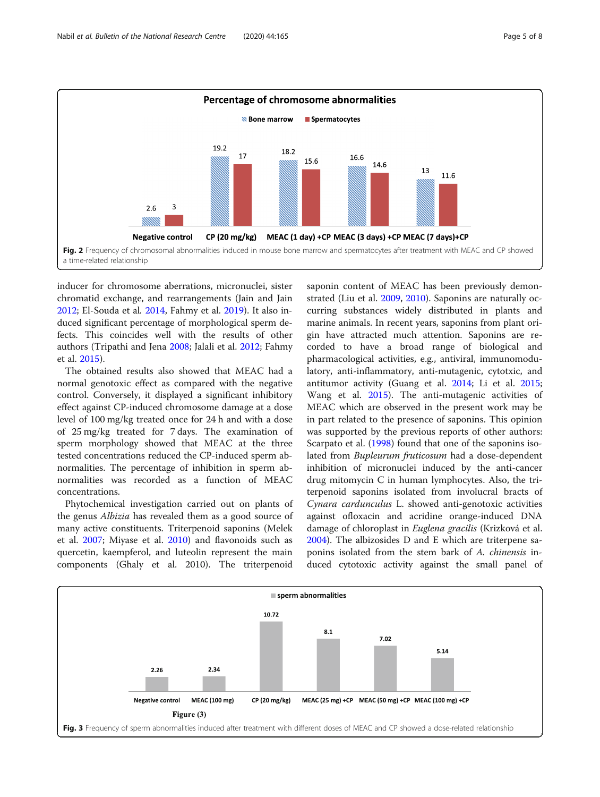<span id="page-4-0"></span>

inducer for chromosome aberrations, micronuclei, sister chromatid exchange, and rearrangements (Jain and Jain [2012](#page-6-0); El-Souda et al. [2014,](#page-6-0) Fahmy et al. [2019](#page-6-0)). It also induced significant percentage of morphological sperm defects. This coincides well with the results of other authors (Tripathi and Jena [2008;](#page-7-0) Jalali et al. [2012](#page-6-0); Fahmy et al. [2015\)](#page-6-0).

The obtained results also showed that MEAC had a normal genotoxic effect as compared with the negative control. Conversely, it displayed a significant inhibitory effect against CP-induced chromosome damage at a dose level of 100 mg/kg treated once for 24 h and with a dose of 25 mg/kg treated for 7 days. The examination of sperm morphology showed that MEAC at the three tested concentrations reduced the CP-induced sperm abnormalities. The percentage of inhibition in sperm abnormalities was recorded as a function of MEAC concentrations.

Phytochemical investigation carried out on plants of the genus Albizia has revealed them as a good source of many active constituents. Triterpenoid saponins (Melek et al. [2007;](#page-7-0) Miyase et al. [2010](#page-7-0)) and flavonoids such as quercetin, kaempferol, and luteolin represent the main components (Ghaly et al. 2010). The triterpenoid

saponin content of MEAC has been previously demonstrated (Liu et al. [2009,](#page-7-0) [2010\)](#page-7-0). Saponins are naturally occurring substances widely distributed in plants and marine animals. In recent years, saponins from plant origin have attracted much attention. Saponins are recorded to have a broad range of biological and pharmacological activities, e.g., antiviral, immunomodulatory, anti-inflammatory, anti-mutagenic, cytotxic, and antitumor activity (Guang et al. [2014](#page-6-0); Li et al. [2015](#page-6-0); Wang et al. [2015](#page-7-0)). The anti-mutagenic activities of MEAC which are observed in the present work may be in part related to the presence of saponins. This opinion was supported by the previous reports of other authors: Scarpato et al. ([1998](#page-7-0)) found that one of the saponins isolated from Bupleurum fruticosum had a dose-dependent inhibition of micronuclei induced by the anti-cancer drug mitomycin C in human lymphocytes. Also, the triterpenoid saponins isolated from involucral bracts of Cynara cardunculus L. showed anti-genotoxic activities against ofloxacin and acridine orange-induced DNA damage of chloroplast in Euglena gracilis (Krizková et al. [2004](#page-6-0)). The albizosides D and E which are triterpene saponins isolated from the stem bark of A. chinensis induced cytotoxic activity against the small panel of

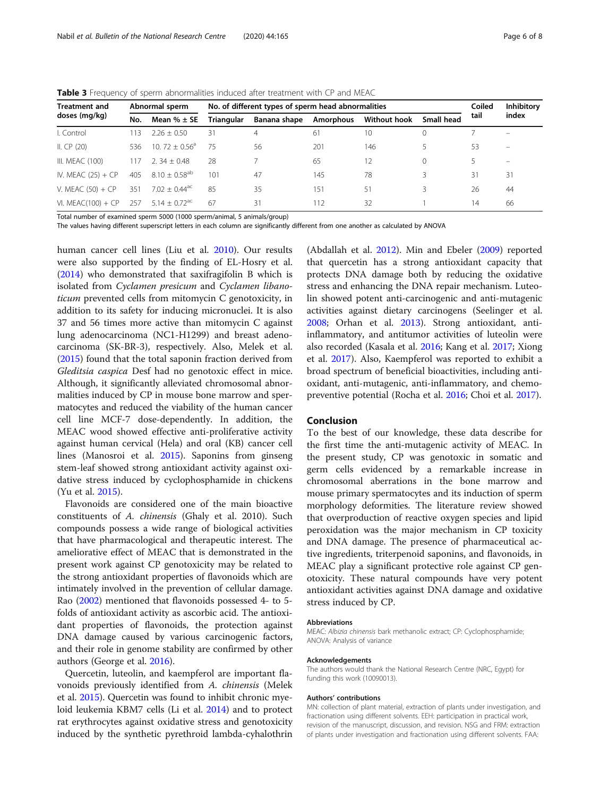<span id="page-5-0"></span>

| <b>Table 3</b> Frequency of sperm abnormalities induced after treatment with CP and MEAC |  |  |  |
|------------------------------------------------------------------------------------------|--|--|--|
|------------------------------------------------------------------------------------------|--|--|--|

| <b>Treatment and</b><br>doses (mg/kg) |                        | Abnormal sperm              | No. of different types of sperm head abnormalities |                           |     |              |            |      | <b>Inhibitory</b>        |
|---------------------------------------|------------------------|-----------------------------|----------------------------------------------------|---------------------------|-----|--------------|------------|------|--------------------------|
|                                       | Mean $% \pm$ SE<br>No. |                             | Triangular                                         | Banana shape<br>Amorphous |     | Without hook | Small head | tail | index                    |
| I. Control                            | 13                     | $2.26 + 0.50$               | 31                                                 | 4                         | 61  | 10           | 0          |      |                          |
| II. $CP(20)$                          | 536                    | $10.72 + 0.56^{\circ}$      | 75                                                 | 56                        | 201 | 146          |            | 53   | $\overline{\phantom{0}}$ |
| III. MEAC (100)                       | 11/                    | $2.34 + 0.48$               | 28                                                 |                           | 65  | 12           | $\Omega$   |      | -                        |
| IV. MEAC $(25) + CP$                  | 405                    | $8.10 + 0.58^{ab}$          | 101                                                | 47                        | 145 | 78           | 3          | 31   | 31                       |
| V. MEAC $(50) + CP$                   | 351                    | $7.02 + 0.44$ <sup>ac</sup> | 85                                                 | 35                        | 151 | 51           |            | 26   | 44                       |
| VI. MEAC $(100) + CP$                 | 257                    | $5.14 + 0.72$ <sup>ac</sup> | 67                                                 | 31                        | 112 | 32           |            | 14   | 66                       |

Total number of examined sperm 5000 (1000 sperm/animal, 5 animals/group)

The values having different superscript letters in each column are significantly different from one another as calculated by ANOVA

human cancer cell lines (Liu et al. [2010\)](#page-7-0). Our results were also supported by the finding of EL-Hosry et al. ([2014](#page-6-0)) who demonstrated that saxifragifolin B which is isolated from Cyclamen presicum and Cyclamen libanoticum prevented cells from mitomycin C genotoxicity, in addition to its safety for inducing micronuclei. It is also 37 and 56 times more active than mitomycin C against lung adenocarcinoma (NC1-H1299) and breast adenocarcinoma (SK-BR-3), respectively. Also, Melek et al. ([2015](#page-7-0)) found that the total saponin fraction derived from Gleditsia caspica Desf had no genotoxic effect in mice. Although, it significantly alleviated chromosomal abnormalities induced by CP in mouse bone marrow and spermatocytes and reduced the viability of the human cancer cell line MCF-7 dose-dependently. In addition, the MEAC wood showed effective anti-proliferative activity against human cervical (Hela) and oral (KB) cancer cell lines (Manosroi et al. [2015\)](#page-7-0). Saponins from ginseng stem-leaf showed strong antioxidant activity against oxidative stress induced by cyclophosphamide in chickens (Yu et al. [2015](#page-7-0)).

Flavonoids are considered one of the main bioactive constituents of A. chinensis (Ghaly et al. 2010). Such compounds possess a wide range of biological activities that have pharmacological and therapeutic interest. The ameliorative effect of MEAC that is demonstrated in the present work against CP genotoxicity may be related to the strong antioxidant properties of flavonoids which are intimately involved in the prevention of cellular damage. Rao ([2002](#page-7-0)) mentioned that flavonoids possessed 4- to 5 folds of antioxidant activity as ascorbic acid. The antioxidant properties of flavonoids, the protection against DNA damage caused by various carcinogenic factors, and their role in genome stability are confirmed by other authors (George et al. [2016](#page-6-0)).

Quercetin, luteolin, and kaempferol are important flavonoids previously identified from A. chinensis (Melek et al. [2015\)](#page-7-0). Quercetin was found to inhibit chronic myeloid leukemia KBM7 cells (Li et al. [2014\)](#page-7-0) and to protect rat erythrocytes against oxidative stress and genotoxicity induced by the synthetic pyrethroid lambda-cyhalothrin

(Abdallah et al. [2012](#page-6-0)). Min and Ebeler ([2009](#page-7-0)) reported that quercetin has a strong antioxidant capacity that protects DNA damage both by reducing the oxidative stress and enhancing the DNA repair mechanism. Luteolin showed potent anti-carcinogenic and anti-mutagenic activities against dietary carcinogens (Seelinger et al. [2008](#page-7-0); Orhan et al. [2013](#page-7-0)). Strong antioxidant, antiinflammatory, and antitumor activities of luteolin were also recorded (Kasala et al. [2016](#page-6-0); Kang et al. [2017;](#page-6-0) Xiong et al. [2017\)](#page-7-0). Also, Kaempferol was reported to exhibit a broad spectrum of beneficial bioactivities, including antioxidant, anti-mutagenic, anti-inflammatory, and chemopreventive potential (Rocha et al. [2016](#page-7-0); Choi et al. [2017](#page-6-0)).

# Conclusion

To the best of our knowledge, these data describe for the first time the anti-mutagenic activity of MEAC. In the present study, CP was genotoxic in somatic and germ cells evidenced by a remarkable increase in chromosomal aberrations in the bone marrow and mouse primary spermatocytes and its induction of sperm morphology deformities. The literature review showed that overproduction of reactive oxygen species and lipid peroxidation was the major mechanism in CP toxicity and DNA damage. The presence of pharmaceutical active ingredients, triterpenoid saponins, and flavonoids, in MEAC play a significant protective role against CP genotoxicity. These natural compounds have very potent antioxidant activities against DNA damage and oxidative stress induced by CP.

#### Abbreviations

MEAC: Albizia chinensis bark methanolic extract; CP: Cyclophosphamide; ANOVA: Analysis of variance

# Acknowledgements

The authors would thank the National Research Centre (NRC, Egypt) for funding this work (10090013).

# Authors' contributions

MN: collection of plant material, extraction of plants under investigation, and fractionation using different solvents. EEH: participation in practical work, revision of the manuscript, discussion, and revision. NSG and FRM: extraction of plants under investigation and fractionation using different solvents. FAA: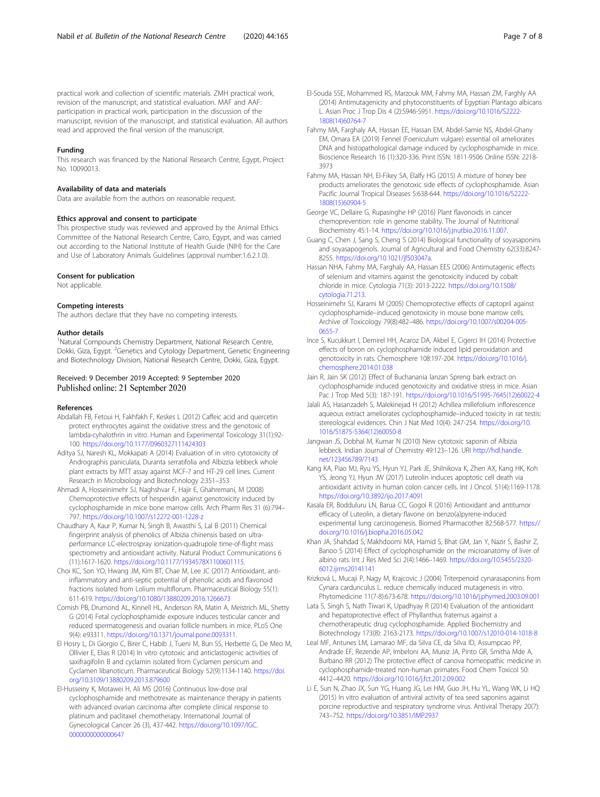<span id="page-6-0"></span>practical work and collection of scientific materials. ZMH practical work, revision of the manuscript, and statistical evaluation. MAF and AAF: participation in practical work, participation in the discussion of the manuscript, revision of the manuscript, and statistical evaluation. All authors read and approved the final version of the manuscript.

# Funding

This research was financed by the National Research Centre, Egypt, Project No. 10090013.

#### Availability of data and materials

Data are available from the authors on reasonable request.

# Ethics approval and consent to participate

This prospective study was reviewed and approved by the Animal Ethics Committee of the National Research Centre, Cairo, Egypt, and was carried out according to the National Institute of Health Guide (NIH) for the Care and Use of Laboratory Animals Guidelines (approval number:1.6.2.1.0).

# Consent for publication

Not applicable.

## Competing interests

The authors declare that they have no competing interests.

# Author details

<sup>1</sup>Natural Compounds Chemistry Department, National Research Centre, Dokki, Giza, Egypt. <sup>2</sup>Genetics and Cytology Department, Genetic Engineering and Biotechnology Division, National Research Centre, Dokki, Giza, Egypt.

# Received: 9 December 2019 Accepted: 9 September 2020 Published online: 21 September 2020

#### References

- Abdallah FB, Fetoui H, Fakhfakh F, Keskes L (2012) Caffeic acid and quercetin protect erythrocytes against the oxidative stress and the genotoxic of lambda-cyhalothrin in vitro. Human and Experimental Toxicology 31(1):92- 100. <https://doi.org/10.1177/0960327111424303>
- Aditya SJ, Naresh KL, Mokkapati A (2014) Evaluation of in vitro cytotoxicity of Andrographis paniculata, Duranta serratifolia and Albizzia lebbeck whole plant extracts by MTT assay against MCF-7 and HT-29 cell lines. Current Research in Microbiology and Biotechnology 2:351–353
- Ahmadi A, Hosseinimehr SJ, Naghshvar F, Hajir E, Ghahremani, M (2008) Chemoprotective effects of hesperidin against genotoxicity induced by cyclophosphamide in mice bone marrow cells. Arch Pharm Res 31 (6):794– 797. <https://doi.org/10.1007/s12272-001-1228-z>
- Chaudhary A, Kaur P, Kumar N, Singh B, Awasthi S, Lal B (2011) Chemical fingerprint analysis of phenolics of Albizia chinensis based on ultraperformance LC-electrospray ionization-quadrupole time-of-flight mass spectrometry and antioxidant activity. Natural Product Communications 6 (11):1617-1620. <https://doi.org/10.1177/1934578X1100601115>.
- Choi KC, Son YO, Hwang JM, Kim BT, Chae M, Lee JC (2017) Antioxidant, antiinflammatory and anti-septic potential of phenolic acids and flavonoid fractions isolated from Lolium multiflorum. Pharmaceutical Biology 55(1): 611-619. <https://doi.org/10.1080/13880209.2016.1266673>
- Comish PB, Drumond AL, Kinnell HL, Anderson RA, Matin A, Meistrich ML, Shetty G (2014) Fetal cyclophosphamide exposure induces testicular cancer and reduced spermatogenesis and ovarian follicle numbers in mice. PLoS One 9(4): e93311. <https://doi.org/10.1371/journal.pone.0093311>.
- El Hosry L, Di Giorgio C, Birer C, Habib J, Tueni M, Bun SS, Herbette G, De Meo M, Ollivier E, Elias R (2014) In vitro cytotoxic and anticlastogenic activities of saxifragifolin B and cyclamin isolated from Cyclamen persicum and Cyclamen libanoticum. Pharmaceutical Biology 52(9):1134-1140. [https://doi.](https://doi.org/10.3109/13880209.2013.879600) [org/10.3109/13880209.2013.879600](https://doi.org/10.3109/13880209.2013.879600)
- El-Husseiny K, Motawei H, Ali MS (2016) Continuous low-dose oral cyclophosphamide and methotrexate as maintenance therapy in patients with advanced ovarian carcinoma after complete clinical response to platinum and paclitaxel chemotherapy. International Journal of Gynecological Cancer 26 (3), 437-442. [https://doi.org/10.1097/IGC.](https://doi.org/10.1097/IGC.0000000000000647) [0000000000000647](https://doi.org/10.1097/IGC.0000000000000647)
- El-Souda SSE, Mohammed RS, Marzouk MM, Fahmy MA, Hassan ZM, Farghly AA (2014) Antimutagenicity and phytoconstituents of Egyptian Plantago albicans L. Asian Proc J Trop Dis 4 (2):S946-S951. [https://doi.org/10.1016/S2222-](https://doi.org/10.1016/S2222-1808(14)60764-7) [1808\(14\)60764-7](https://doi.org/10.1016/S2222-1808(14)60764-7)
- Fahmy MA, Farghaly AA, Hassan EE, Hassan EM, Abdel-Samie NS, Abdel-Ghany EM, Omara EA (2019) Fennel (Foeniculum vulgare) essential oil ameliorates DNA and histopathological damage induced by cyclophosphamide in mice. Bioscience Research 16 (1):320-336. Print ISSN: 1811-9506 Online ISSN: 2218- 3973
- Fahmy MA, Hassan NH, El-Fikey SA, Elalfy HG (2015) A mixture of honey bee products ameliorates the genotoxic side effects of cyclophosphamide. Asian Pacific Journal Tropical Diseases 5:638-644. [https://doi.org/10.1016/S2222-](https://doi.org/10.1016/S2222-1808(15)60904-5) [1808\(15\)60904-5](https://doi.org/10.1016/S2222-1808(15)60904-5)
- George VC, Dellaire G, Rupasinghe HP (2016) Plant flavonoids in cancer chemoprevention: role in genome stability. The Journal of Nutritional Biochemistry 45:1-14. <https://doi.org/10.1016/j.jnutbio.2016.11.007>.
- Guang C, Chen J, Sang S, Cheng S (2014) Biological functionality of soyasaponins and soyasapogenols. Journal of Agricultural and Food Chemistry 62(33):8247- 8255. [https://doi.org/10.1021/jf503047a.](https://doi.org/10.1021/jf503047a)
- Hassan NHA, Fahmy MA, Farghaly AA, Hassan EES (2006) Antimutagenic effects of selenium and vitamins against the genotoxicity induced by cobalt chloride in mice. Cytologia 71(3): 2013-2222. [https://doi.org/10.1508/](https://doi.org/10.1508/cytologia.71.213) [cytologia.71.213](https://doi.org/10.1508/cytologia.71.213).
- Hosseinimehr SJ, Karami M (2005) Chemoprotective effects of captopril against cyclophosphamide–induced genotoxicity in mouse bone marrow cells. Archive of Toxicology 79(8):482–486. [https://doi.org/10.1007/s00204-005-](https://doi.org/10.1007/s00204-005-0655-7) [0655-7](https://doi.org/10.1007/s00204-005-0655-7)
- Ince S, Kucukkurt I, Demirel HH, Acaroz DA, Akbel E, Cigerci IH (2014) Protective effects of boron on cyclophosphamide induced lipid peroxidation and genotoxicity in rats. Chemosphere 108:197-204. [https://doi.org/10.1016/j.](https://doi.org/10.1016/j.chemosphere.2014.01.038) [chemosphere.2014.01.038](https://doi.org/10.1016/j.chemosphere.2014.01.038)
- Jain R, Jain SK (2012) Effect of Buchanania lanzan Spreng bark extract on cyclophosphamide induced genotoxicity and oxidative stress in mice. Asian Pac J Trop Med 5(3): 187-191. [https://doi.org/10.1016/S1995-7645\(12\)60022-4](https://doi.org/10.1016/S1995-7645(12)60022-4)
- Jalali AS, Hasanzadeh S, Malekinejad H (2012) Achillea millefolium inflorescence aqueous extract ameliorates cyclophosphamide–induced toxicity in rat testis: stereological evidences. Chin J Nat Med 10(4): 247-254. [https://doi.org/10.](https://doi.org/10.1016/S1875-5364(12)60050-8) [1016/S1875-5364\(12\)60050-8](https://doi.org/10.1016/S1875-5364(12)60050-8)
- Jangwan JS, Dobhal M, Kumar N (2010) New cytotoxic saponin of Albizia lebbeck. Indian Journal of Chemistry 49:123–126. URI [http://hdl.handle.](http://hdl.handle.net/123456789/7143) [net/123456789/7143](http://hdl.handle.net/123456789/7143)
- Kang KA, Piao MJ, Ryu YS, Hyun YJ, Park JE, Shilnikova K, Zhen AX, Kang HK, Koh YS, Jeong YJ, Hyun JW (2017) Luteolin induces apoptotic cell death via antioxidant activity in human colon cancer cells. Int J Oncol. 51(4):1169-1178. <https://doi.org/10.3892/ijo.2017.4091>
- Kasala ER, Bodduluru LN, Barua CC, Gogoi R (2016) Antioxidant and antitumor efficacy of Luteolin, a dietary flavone on benzo(a)pyrene-induced experimental lung carcinogenesis. Biomed Pharmacother 82:568-577. [https://](https://doi.org/10.1016/j.biopha.2016.05.042) [doi.org/10.1016/j.biopha.2016.05.042](https://doi.org/10.1016/j.biopha.2016.05.042)
- Khan JA, Shahdad S, Makhdoomi MA, Hamid S, Bhat GM, Jan Y, Nazir S, Bashir Z, Banoo S (2014) Effect of cyclophosphamide on the microanatomy of liver of albino rats. Int J Res Med Sci 2(4):1466–1469. [https://doi.org/10.5455/2320-](https://doi.org/10.5455/2320-6012.ijrms20141141) [6012.ijrms20141141](https://doi.org/10.5455/2320-6012.ijrms20141141)
- Krizková L, Mucaji P, Nagy M, Krajcovic J (2004) Triterpenoid cynarasaponins from Cynara cardunculus L. reduce chemically induced mutagenesis in vitro. Phytomedicine 11(7-8):673-678. <https://doi.org/10.1016/j.phymed.2003.09.001>
- Lata S, Singh S, Nath Tiwari K, Upadhyay R (2014) Evaluation of the antioxidant and hepatoprotective effect of Phyllanthus fraternus against a chemotherapeutic drug cyclophosphamide. Applied Biochemistry and Biotechnology 173(8): 2163-2173. <https://doi.org/10.1007/s12010-014-1018-8>
- Leal MF, Antunes LM, Lamarao MF, da Silva CE, da Silva ID, Assumpcao PP, Andrade EF, Rezende AP, Imbeloni AA, Muniz JA, Pinto GR, Smitha Mde A, Burbano RR (2012) The protective effect of canova homeopathic medicine in cyclophosphamide-treated non-human primates. Food Chem Toxicol 50: 4412–4420. <https://doi.org/10.1016/j.fct.2012.09.002>
- Li E, Sun N, Zhao JX, Sun YG, Huang JG, Lei HM, Guo JH, Hu YL, Wang WK, Li HQ (2015) In vitro evaluation of antiviral activity of tea seed saponins against porcine reproductive and respiratory syndrome virus. Antiviral Therapy 20(7): 743–752. <https://doi.org/10.3851/IMP2937>